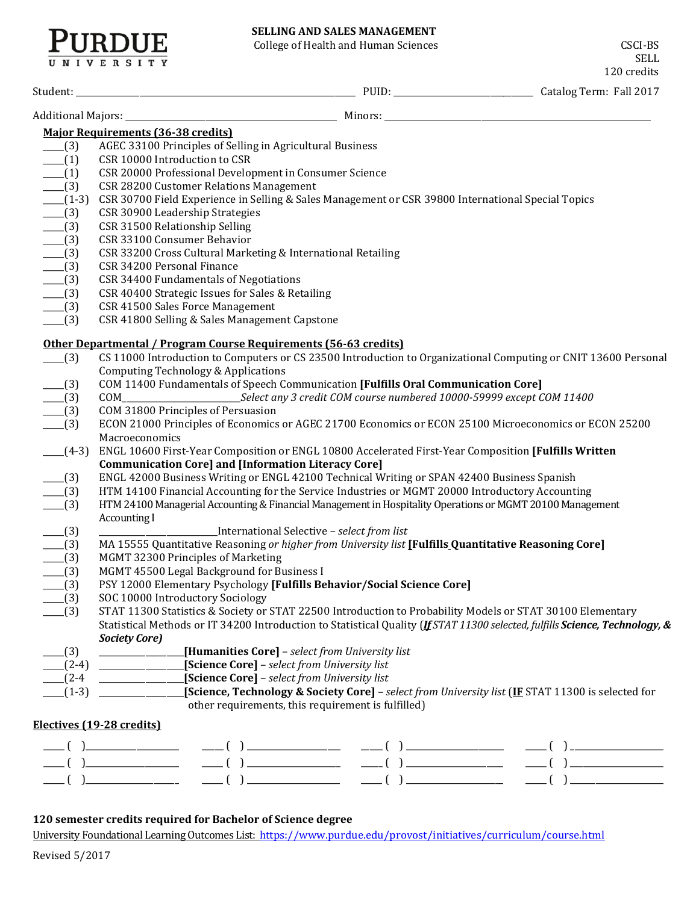# **SELLING AND SALES MANAGEMENT**

College of Health and Human Sciences CSCI-BS

RDUE

SELL<br>
xadita 120 credits

|                     |                                                                                                                                                                                                              | 120 credits                                                         |
|---------------------|--------------------------------------------------------------------------------------------------------------------------------------------------------------------------------------------------------------|---------------------------------------------------------------------|
|                     |                                                                                                                                                                                                              |                                                                     |
|                     | <b>Major Requirements (36-38 credits)</b>                                                                                                                                                                    |                                                                     |
| $-$ (3)             | AGEC 33100 Principles of Selling in Agricultural Business                                                                                                                                                    |                                                                     |
| $- (1)$             | CSR 10000 Introduction to CSR                                                                                                                                                                                |                                                                     |
| $-^{(1)}$           | CSR 20000 Professional Development in Consumer Science                                                                                                                                                       |                                                                     |
| $-$ (3)             | CSR 28200 Customer Relations Management                                                                                                                                                                      |                                                                     |
|                     | CSR 30700 Field Experience in Selling & Sales Management or CSR 39800 International Special Topics                                                                                                           |                                                                     |
| $ (1-3)$<br>$- (3)$ | CSR 30900 Leadership Strategies                                                                                                                                                                              |                                                                     |
| $-$ (3)             | CSR 31500 Relationship Selling                                                                                                                                                                               |                                                                     |
| $-$ (3)             | CSR 33100 Consumer Behavior                                                                                                                                                                                  |                                                                     |
| $- (3)$             | CSR 33200 Cross Cultural Marketing & International Retailing                                                                                                                                                 |                                                                     |
| $- (3)$             | CSR 34200 Personal Finance                                                                                                                                                                                   |                                                                     |
| $- (3)$             | CSR 34400 Fundamentals of Negotiations                                                                                                                                                                       |                                                                     |
| $- (3)$             | CSR 40400 Strategic Issues for Sales & Retailing                                                                                                                                                             |                                                                     |
| $- (3)$             | CSR 41500 Sales Force Management                                                                                                                                                                             |                                                                     |
| $-$ (3)             | CSR 41800 Selling & Sales Management Capstone                                                                                                                                                                |                                                                     |
|                     | Other Departmental / Program Course Requirements (56-63 credits)                                                                                                                                             |                                                                     |
| (3)                 | CS 11000 Introduction to Computers or CS 23500 Introduction to Organizational Computing or CNIT 13600 Personal                                                                                               |                                                                     |
|                     | <b>Computing Technology &amp; Applications</b>                                                                                                                                                               |                                                                     |
| $-$ (3)             | COM 11400 Fundamentals of Speech Communication [Fulfills Oral Communication Core]                                                                                                                            |                                                                     |
| $-$ (3)             |                                                                                                                                                                                                              |                                                                     |
| $-$ (3)             | COM 31800 Principles of Persuasion                                                                                                                                                                           |                                                                     |
| $-$ (3)             | ECON 21000 Principles of Economics or AGEC 21700 Economics or ECON 25100 Microeconomics or ECON 25200                                                                                                        |                                                                     |
|                     | Macroeconomics                                                                                                                                                                                               |                                                                     |
| $(4-3)$             | ENGL 10600 First-Year Composition or ENGL 10800 Accelerated First-Year Composition [Fulfills Written                                                                                                         |                                                                     |
|                     | <b>Communication Core] and [Information Literacy Core]</b>                                                                                                                                                   |                                                                     |
| $\sqrt{3}$          | ENGL 42000 Business Writing or ENGL 42100 Technical Writing or SPAN 42400 Business Spanish                                                                                                                   |                                                                     |
| $-$ (3)             | HTM 14100 Financial Accounting for the Service Industries or MGMT 20000 Introductory Accounting<br>HTM 24100 Managerial Accounting & Financial Management in Hospitality Operations or MGMT 20100 Management |                                                                     |
| $- (3)$             | Accounting I                                                                                                                                                                                                 |                                                                     |
| $-$ (3)             | International Selective - select from list                                                                                                                                                                   |                                                                     |
| $-$ (3)             | MA 15555 Quantitative Reasoning or higher from University list [Fulfills Quantitative Reasoning Core]                                                                                                        |                                                                     |
| $- (3)$             | MGMT 32300 Principles of Marketing                                                                                                                                                                           |                                                                     |
| $\frac{1}{2}$ (3)   | MGMT 45500 Legal Background for Business I                                                                                                                                                                   |                                                                     |
| (3)                 | PSY 12000 Elementary Psychology [Fulfills Behavior/Social Science Core]                                                                                                                                      |                                                                     |
| (3)                 | SOC 10000 Introductory Sociology                                                                                                                                                                             |                                                                     |
| (3)                 | STAT 11300 Statistics & Society or STAT 22500 Introduction to Probability Models or STAT 30100 Elementary                                                                                                    |                                                                     |
|                     | Statistical Methods or IT 34200 Introduction to Statistical Quality (If STAT 11300 selected, fulfills Science, Technology, &                                                                                 |                                                                     |
|                     | <b>Society Core)</b>                                                                                                                                                                                         |                                                                     |
| (3)                 | [Humanities Core] - select from University list                                                                                                                                                              |                                                                     |
| $(2-4)$             | [Science Core] - select from University list                                                                                                                                                                 |                                                                     |
| $(2-4)$             | [Science Core] - select from University list<br><u> 1990 - Johann Barbara, martx</u>                                                                                                                         |                                                                     |
| $(1-3)$             | [Science, Technology & Society Core] - select from University list (IF STAT 11300 is selected for                                                                                                            |                                                                     |
|                     | other requirements, this requirement is fulfilled)                                                                                                                                                           |                                                                     |
|                     | Electives (19-28 credits)                                                                                                                                                                                    |                                                                     |
|                     |                                                                                                                                                                                                              |                                                                     |
|                     |                                                                                                                                                                                                              |                                                                     |
|                     |                                                                                                                                                                                                              | $\begin{pmatrix} 1 & 1 & 1 \\ 1 & 1 & 1 \\ 1 & 1 & 1 \end{pmatrix}$ |
|                     |                                                                                                                                                                                                              |                                                                     |

### **120 semester credits required for Bachelor of Science degree**

University Foundational Learning Outcomes List:<https://www.purdue.edu/provost/initiatives/curriculum/course.html>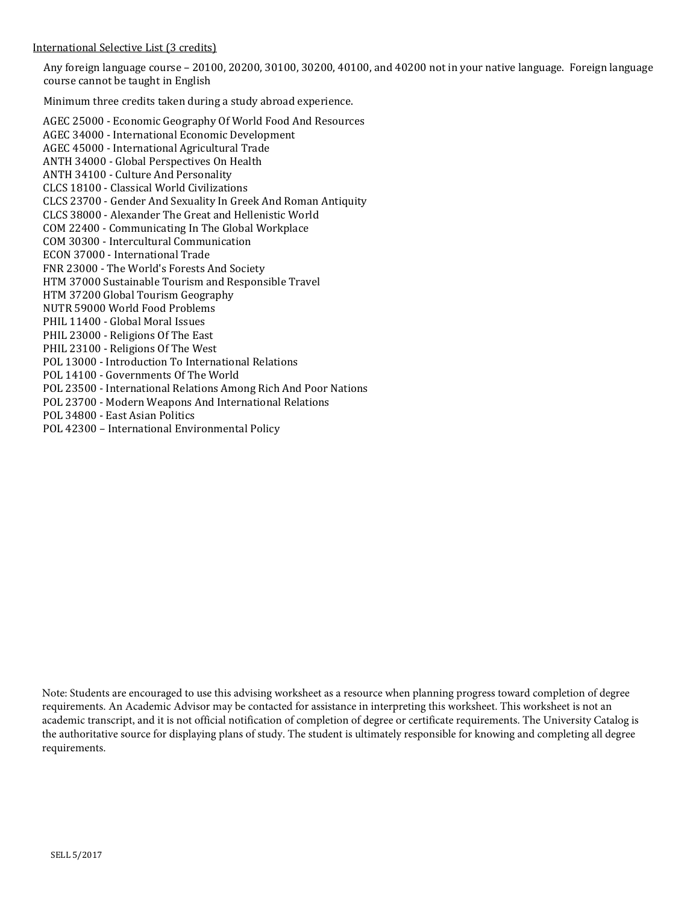#### International Selective List (3 credits)

Any foreign language course – 20100, 20200, 30100, 30200, 40100, and 40200 not in your native language. Foreign language course cannot be taught in English

Minimum three credits taken during a study abroad experience.

[AGEC 25000 - Economic Geography Of World Food And Resources](http://catalog.purdue.edu/preview_program.php?catoid=7&poid=6459&returnto=2935) [AGEC 34000 - International Economic Development](http://catalog.purdue.edu/preview_program.php?catoid=7&poid=6459&returnto=2935) [AGEC 45000 - International Agricultural Trade](http://catalog.purdue.edu/preview_program.php?catoid=7&poid=6459&returnto=2935) [ANTH 34000 - Global Perspectives On Health](http://catalog.purdue.edu/preview_program.php?catoid=7&poid=6459&returnto=2935) [ANTH 34100 - Culture And Personality](http://catalog.purdue.edu/preview_program.php?catoid=7&poid=6459&returnto=2935) [CLCS 18100 - Classical World Civilizations](http://catalog.purdue.edu/preview_program.php?catoid=7&poid=6459&returnto=2935) [CLCS 23700 - Gender And Sexuality In Greek And Roman Antiquity](http://catalog.purdue.edu/preview_program.php?catoid=7&poid=6459&returnto=2935) [CLCS 38000 - Alexander The Great and Hellenistic World](http://catalog.purdue.edu/preview_program.php?catoid=7&poid=6459&returnto=2935) [COM 22400 - Communicating In The Global Workplace](http://catalog.purdue.edu/preview_program.php?catoid=7&poid=6459&returnto=2935) [COM 30300 - Intercultural Communication](http://catalog.purdue.edu/preview_program.php?catoid=7&poid=6459&returnto=2935) [ECON 37000 - International Trade](http://catalog.purdue.edu/preview_program.php?catoid=7&poid=6459&returnto=2935) FNR 23000 - The World['s Forests And Society](http://catalog.purdue.edu/preview_program.php?catoid=7&poid=6459&returnto=2935) HTM 37000 Sustainable Tourism and Responsible Travel HTM 37200 Global Tourism Geography NUTR 59000 World Food Problems [PHIL 11400 - Global Moral Issues](http://catalog.purdue.edu/preview_program.php?catoid=7&poid=6459&returnto=2935) [PHIL 23000 - Religions Of The East](http://catalog.purdue.edu/preview_program.php?catoid=7&poid=6459&returnto=2935) [PHIL 23100 - Religions Of The West](http://catalog.purdue.edu/preview_program.php?catoid=7&poid=6459&returnto=2935) [POL 13000 - Introduction To International Relations](http://catalog.purdue.edu/preview_program.php?catoid=7&poid=6459&returnto=2935) [POL 14100 - Governments Of The World](http://catalog.purdue.edu/preview_program.php?catoid=7&poid=6459&returnto=2935) [POL 23500 - International Relations Among Rich And Poor Nations](http://catalog.purdue.edu/preview_program.php?catoid=7&poid=6459&returnto=2935) [POL 23700 - Modern Weapons And International Relations](http://catalog.purdue.edu/preview_program.php?catoid=7&poid=6459&returnto=2935)  [POL 34800 - East Asian Politics](http://catalog.purdue.edu/preview_program.php?catoid=7&poid=6459&returnto=2935) POL 42300 – International Environmental Policy

Note: Students are encouraged to use this advising worksheet as a resource when planning progress toward completion of degree requirements. An Academic Advisor may be contacted for assistance in interpreting this worksheet. This worksheet is not an academic transcript, and it is not official notification of completion of degree or certificate requirements. The University Catalog is the authoritative source for displaying plans of study. The student is ultimately responsible for knowing and completing all degree requirements.